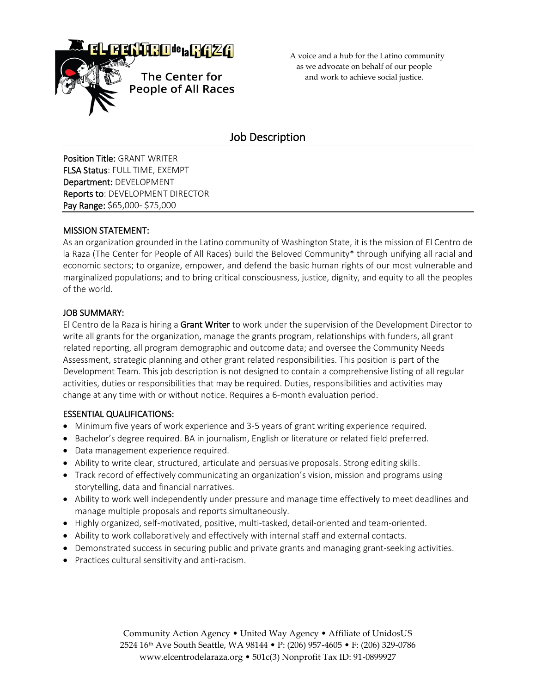

 A voice and a hub for the Latino community as we advocate on behalf of our people and work to achieve social justice.

# Job Description

Position Title: GRANT WRITER FLSA Status: FULL TIME, EXEMPT Department: DEVELOPMENT Reports to: DEVELOPMENT DIRECTOR Pay Range: \$65,000- \$75,000

## MISSION STATEMENT:

As an organization grounded in the Latino community of Washington State, it is the mission of El Centro de la Raza (The Center for People of All Races) build the Beloved Community\* through unifying all racial and economic sectors; to organize, empower, and defend the basic human rights of our most vulnerable and marginalized populations; and to bring critical consciousness, justice, dignity, and equity to all the peoples of the world.

## JOB SUMMARY:

El Centro de la Raza is hiring a Grant Writer to work under the supervision of the Development Director to write all grants for the organization, manage the grants program, relationships with funders, all grant related reporting, all program demographic and outcome data; and oversee the Community Needs Assessment, strategic planning and other grant related responsibilities. This position is part of the Development Team. This job description is not designed to contain a comprehensive listing of all regular activities, duties or responsibilities that may be required. Duties, responsibilities and activities may change at any time with or without notice. Requires a 6-month evaluation period.

## ESSENTIAL QUALIFICATIONS:

- Minimum five years of work experience and 3-5 years of grant writing experience required.
- Bachelor's degree required. BA in journalism, English or literature or related field preferred.
- Data management experience required.
- Ability to write clear, structured, articulate and persuasive proposals. Strong editing skills.
- Track record of effectively communicating an organization's vision, mission and programs using storytelling, data and financial narratives.
- Ability to work well independently under pressure and manage time effectively to meet deadlines and manage multiple proposals and reports simultaneously.
- Highly organized, self-motivated, positive, multi-tasked, detail-oriented and team-oriented.
- Ability to work collaboratively and effectively with internal staff and external contacts.
- Demonstrated success in securing public and private grants and managing grant-seeking activities.
- Practices cultural sensitivity and anti-racism.

Community Action Agency • United Way Agency • Affiliate of UnidosUS 2524 16th Ave South Seattle, WA 98144 • P: (206) 957-4605 • F: (206) 329-0786 www.elcentrodelaraza.org • 501c(3) Nonprofit Tax ID: 91-0899927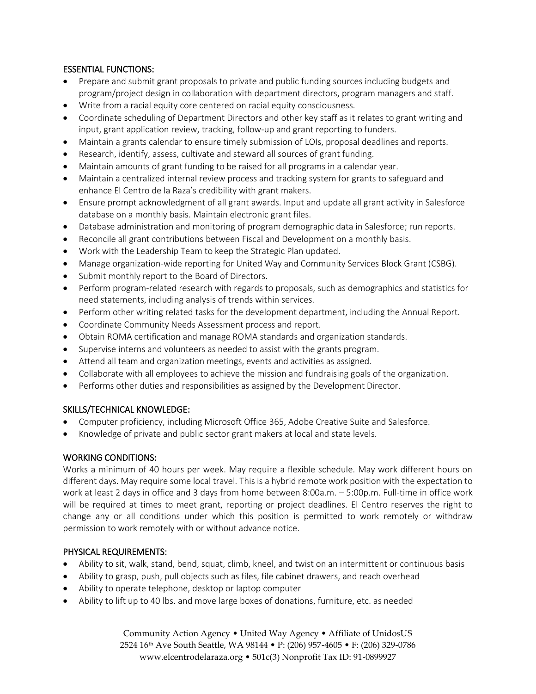## ESSENTIAL FUNCTIONS:

- Prepare and submit grant proposals to private and public funding sources including budgets and program/project design in collaboration with department directors, program managers and staff.
- Write from a racial equity core centered on racial equity consciousness.
- Coordinate scheduling of Department Directors and other key staff as it relates to grant writing and input, grant application review, tracking, follow-up and grant reporting to funders.
- Maintain a grants calendar to ensure timely submission of LOIs, proposal deadlines and reports.
- Research, identify, assess, cultivate and steward all sources of grant funding.
- Maintain amounts of grant funding to be raised for all programs in a calendar year.
- Maintain a centralized internal review process and tracking system for grants to safeguard and enhance El Centro de la Raza's credibility with grant makers.
- Ensure prompt acknowledgment of all grant awards. Input and update all grant activity in Salesforce database on a monthly basis. Maintain electronic grant files.
- Database administration and monitoring of program demographic data in Salesforce; run reports.
- Reconcile all grant contributions between Fiscal and Development on a monthly basis.
- Work with the Leadership Team to keep the Strategic Plan updated.
- Manage organization-wide reporting for United Way and Community Services Block Grant (CSBG).
- Submit monthly report to the Board of Directors.
- Perform program-related research with regards to proposals, such as demographics and statistics for need statements, including analysis of trends within services.
- Perform other writing related tasks for the development department, including the Annual Report.
- Coordinate Community Needs Assessment process and report.
- Obtain ROMA certification and manage ROMA standards and organization standards.
- Supervise interns and volunteers as needed to assist with the grants program.
- Attend all team and organization meetings, events and activities as assigned.
- Collaborate with all employees to achieve the mission and fundraising goals of the organization.
- Performs other duties and responsibilities as assigned by the Development Director.

### SKILLS/TECHNICAL KNOWLEDGE:

- Computer proficiency, including Microsoft Office 365, Adobe Creative Suite and Salesforce.
- Knowledge of private and public sector grant makers at local and state levels.

## WORKING CONDITIONS:

Works a minimum of 40 hours per week. May require a flexible schedule. May work different hours on different days. May require some local travel. This is a hybrid remote work position with the expectation to work at least 2 days in office and 3 days from home between 8:00a.m. – 5:00p.m. Full-time in office work will be required at times to meet grant, reporting or project deadlines. El Centro reserves the right to change any or all conditions under which this position is permitted to work remotely or withdraw permission to work remotely with or without advance notice.

## PHYSICAL REQUIREMENTS:

- Ability to sit, walk, stand, bend, squat, climb, kneel, and twist on an intermittent or continuous basis
- Ability to grasp, push, pull objects such as files, file cabinet drawers, and reach overhead
- Ability to operate telephone, desktop or laptop computer
- Ability to lift up to 40 lbs. and move large boxes of donations, furniture, etc. as needed

Community Action Agency • United Way Agency • Affiliate of UnidosUS 2524 16th Ave South Seattle, WA 98144 • P: (206) 957-4605 • F: (206) 329-0786 www.elcentrodelaraza.org • 501c(3) Nonprofit Tax ID: 91-0899927